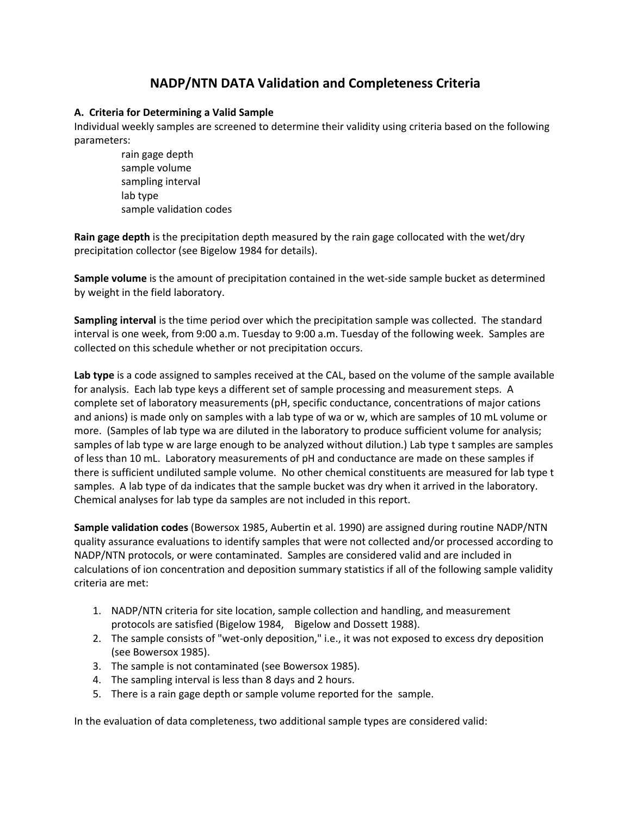## **NADP/NTN DATA Validation and Completeness Criteria**

## **A. Criteria for Determining a Valid Sample**

Individual weekly samples are screened to determine their validity using criteria based on the following parameters:

rain gage depth sample volume sampling interval lab type sample validation codes

**Rain gage depth** is the precipitation depth measured by the rain gage collocated with the wet/dry precipitation collector (see Bigelow 1984 for details).

**Sample volume** is the amount of precipitation contained in the wet-side sample bucket as determined by weight in the field laboratory.

**Sampling interval** is the time period over which the precipitation sample was collected. The standard interval is one week, from 9:00 a.m. Tuesday to 9:00 a.m. Tuesday of the following week. Samples are collected on this schedule whether or not precipitation occurs.

**Lab type** is a code assigned to samples received at the CAL, based on the volume of the sample available for analysis. Each lab type keys a different set of sample processing and measurement steps. A complete set of laboratory measurements (pH, specific conductance, concentrations of major cations and anions) is made only on samples with a lab type of wa or w, which are samples of 10 mL volume or more. (Samples of lab type wa are diluted in the laboratory to produce sufficient volume for analysis; samples of lab type w are large enough to be analyzed without dilution.) Lab type t samples are samples of less than 10 mL. Laboratory measurements of pH and conductance are made on these samples if there is sufficient undiluted sample volume. No other chemical constituents are measured for lab type t samples. A lab type of da indicates that the sample bucket was dry when it arrived in the laboratory. Chemical analyses for lab type da samples are not included in this report.

**Sample validation codes** (Bowersox 1985, Aubertin et al. 1990) are assigned during routine NADP/NTN quality assurance evaluations to identify samples that were not collected and/or processed according to NADP/NTN protocols, or were contaminated. Samples are considered valid and are included in calculations of ion concentration and deposition summary statistics if all of the following sample validity criteria are met:

- 1. NADP/NTN criteria for site location, sample collection and handling, and measurement protocols are satisfied (Bigelow 1984, Bigelow and Dossett 1988).
- 2. The sample consists of "wet-only deposition," i.e., it was not exposed to excess dry deposition (see Bowersox 1985).
- 3. The sample is not contaminated (see Bowersox 1985).
- 4. The sampling interval is less than 8 days and 2 hours.
- 5. There is a rain gage depth or sample volume reported for the sample.

In the evaluation of data completeness, two additional sample types are considered valid: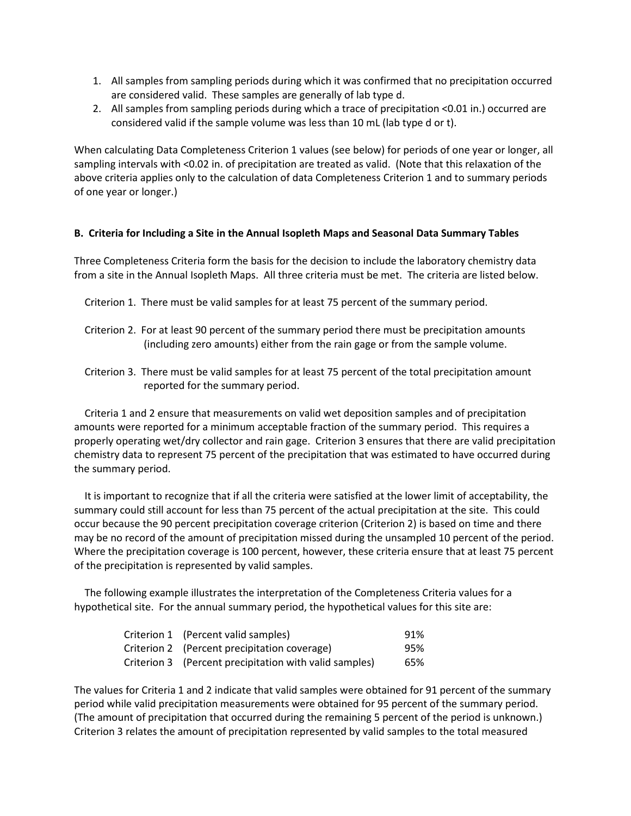- 1. All samples from sampling periods during which it was confirmed that no precipitation occurred are considered valid. These samples are generally of lab type d.
- 2. All samples from sampling periods during which a trace of precipitation <0.01 in.) occurred are considered valid if the sample volume was less than 10 mL (lab type d or t).

When calculating Data Completeness Criterion 1 values (see below) for periods of one year or longer, all sampling intervals with <0.02 in. of precipitation are treated as valid. (Note that this relaxation of the above criteria applies only to the calculation of data Completeness Criterion 1 and to summary periods of one year or longer.)

## **B. Criteria for Including a Site in the Annual Isopleth Maps and Seasonal Data Summary Tables**

Three Completeness Criteria form the basis for the decision to include the laboratory chemistry data from a site in the Annual Isopleth Maps. All three criteria must be met. The criteria are listed below.

- Criterion 1. There must be valid samples for at least 75 percent of the summary period.
- Criterion 2. For at least 90 percent of the summary period there must be precipitation amounts (including zero amounts) either from the rain gage or from the sample volume.
- Criterion 3. There must be valid samples for at least 75 percent of the total precipitation amount reported for the summary period.

 Criteria 1 and 2 ensure that measurements on valid wet deposition samples and of precipitation amounts were reported for a minimum acceptable fraction of the summary period. This requires a properly operating wet/dry collector and rain gage. Criterion 3 ensures that there are valid precipitation chemistry data to represent 75 percent of the precipitation that was estimated to have occurred during the summary period.

 It is important to recognize that if all the criteria were satisfied at the lower limit of acceptability, the summary could still account for less than 75 percent of the actual precipitation at the site. This could occur because the 90 percent precipitation coverage criterion (Criterion 2) is based on time and there may be no record of the amount of precipitation missed during the unsampled 10 percent of the period. Where the precipitation coverage is 100 percent, however, these criteria ensure that at least 75 percent of the precipitation is represented by valid samples.

 The following example illustrates the interpretation of the Completeness Criteria values for a hypothetical site. For the annual summary period, the hypothetical values for this site are:

| Criterion 1 (Percent valid samples)                    | 91% |
|--------------------------------------------------------|-----|
| Criterion 2 (Percent precipitation coverage)           | 95% |
| Criterion 3 (Percent precipitation with valid samples) | 65% |

The values for Criteria 1 and 2 indicate that valid samples were obtained for 91 percent of the summary period while valid precipitation measurements were obtained for 95 percent of the summary period. (The amount of precipitation that occurred during the remaining 5 percent of the period is unknown.) Criterion 3 relates the amount of precipitation represented by valid samples to the total measured